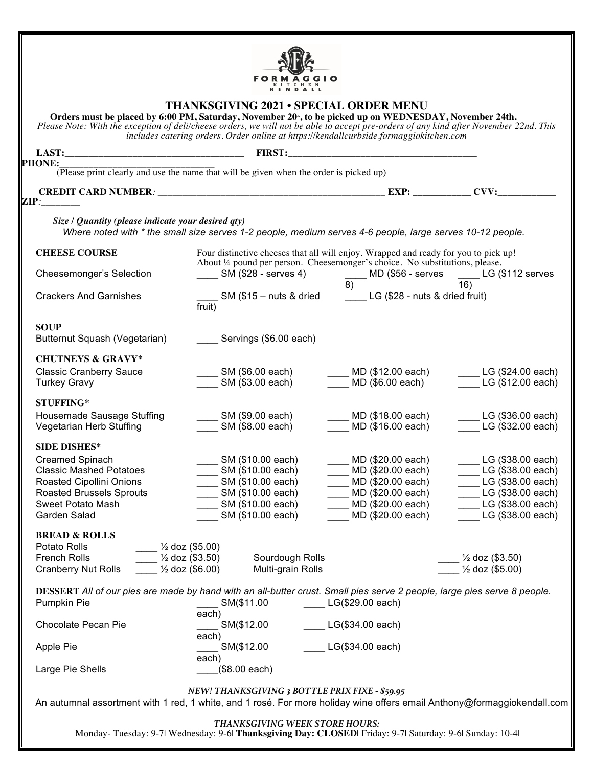

## **THANKSGIVING 2021 • SPECIAL ORDER MENU**

**Orders must be placed by 6:00 PM, Saturday, November 20th, to be picked up on WEDNESDAY, November 24th.** *Please Note: With the exception of deli/cheese orders, we will not be able to accept pre-orders of any kind after November 22nd. This includes catering orders. Order online at https://kendallcurbside.formaggiokitchen.com*

| LAST: FIRST:<br><b>PHONE:_</b>                         |                                                                                                                                                                     |                                              |                                                |
|--------------------------------------------------------|---------------------------------------------------------------------------------------------------------------------------------------------------------------------|----------------------------------------------|------------------------------------------------|
|                                                        | :<br>(Please print clearly and use the name that will be given when the order is picked up)                                                                         |                                              |                                                |
|                                                        |                                                                                                                                                                     |                                              |                                                |
| $\mathbf{ZIP:}$                                        |                                                                                                                                                                     |                                              |                                                |
| Size / Quantity (please indicate your desired qty)     | Where noted with * the small size serves 1-2 people, medium serves 4-6 people, large serves 10-12 people.                                                           |                                              |                                                |
| <b>CHEESE COURSE</b>                                   | Four distinctive cheeses that all will enjoy. Wrapped and ready for you to pick up!<br>About 1/4 pound per person. Cheesemonger's choice. No substitutions, please. |                                              |                                                |
| Cheesemonger's Selection                               | SM (\$28 - serves 4) $\frac{1}{8}$ MD (\$56 - serves $\frac{1}{16}$ LG (\$112 serves                                                                                |                                              |                                                |
| <b>Crackers And Garnishes</b>                          | $\frac{1}{\text{fruit}}$ SM (\$15 – nuts & dried _________ LG (\$28 - nuts & dried fruit)<br>$f$ ruit)                                                              |                                              |                                                |
| <b>SOUP</b><br>Butternut Squash (Vegetarian)           | Servings (\$6.00 each)                                                                                                                                              |                                              |                                                |
| <b>CHUTNEYS &amp; GRAVY*</b>                           |                                                                                                                                                                     |                                              |                                                |
| <b>Classic Cranberry Sauce</b><br><b>Turkey Gravy</b>  | _ SM (\$6.00 each)<br>_____ SM (\$3.00 each)                                                                                                                        | ____ MD (\$12.00 each)<br>MD (\$6.00 each)   | $LCG$ (\$24.00 each)<br>$L = LG ($12.00 each)$ |
| <b>STUFFING*</b>                                       |                                                                                                                                                                     |                                              |                                                |
| Housemade Sausage Stuffing<br>Vegetarian Herb Stuffing | ___ SM (\$9.00 each)<br>SM (\$8.00 each)                                                                                                                            | ____ MD (\$18.00 each)<br>MD (\$16.00 each)  | $\Box$ LG (\$36.00 each)<br>LG (\$32.00 each)  |
| <b>SIDE DISHES*</b>                                    |                                                                                                                                                                     |                                              |                                                |
| Creamed Spinach<br><b>Classic Mashed Potatoes</b>      | _____ SM (\$10.00 each)<br>$\frac{1}{2}$ SM (\$10.00 each)                                                                                                          | ____ MD (\$20.00 each)<br>MD (\$20.00 each)  | $L = LG ($ \$38.00 each)<br>LG (\$38.00 each)  |
| Roasted Cipollini Onions                               | _____ SM (\$10.00 each)                                                                                                                                             | MD (\$20.00 each)                            | LG (\$38.00 each)                              |
| <b>Roasted Brussels Sprouts</b>                        | _____ SM (\$10.00 each)                                                                                                                                             | $\underline{\hspace{1cm}}$ MD (\$20.00 each) | LG (\$38.00 each)                              |
| Sweet Potato Mash                                      | $\sim$ SM (\$10.00 each)                                                                                                                                            | MD (\$20.00 each)                            | LG (\$38.00 each)                              |
| Garden Salad                                           | SM (\$10.00 each)                                                                                                                                                   | MD (\$20.00 each)                            | $L = LG ($ \$38.00 each)                       |
| <b>BREAD &amp; ROLLS</b>                               |                                                                                                                                                                     |                                              |                                                |
| Potato Rolls<br>French Rolls                           | $\frac{1}{2}$ doz (\$5.00)<br>$\frac{1}{2}$ doz (\$3.50)<br>Sourdough Rolls                                                                                         |                                              | $\frac{1}{2}$ doz (\$3.50)                     |
| <b>Cranberry Nut Rolls</b>                             | $\frac{1}{2}$ doz (\$6.00)<br>Multi-grain Rolls                                                                                                                     |                                              | $\frac{1}{2}$ doz (\$5.00)                     |
|                                                        | DESSERT All of our pies are made by hand with an all-butter crust. Small pies serve 2 people, large pies serve 8 people.                                            |                                              |                                                |
| Pumpkin Pie                                            | SM(\$11.00<br>each)                                                                                                                                                 | LG(\$29.00 each)                             |                                                |
| Chocolate Pecan Pie                                    | SM(\$12.00                                                                                                                                                          | LG(\$34.00 each)                             |                                                |
| Apple Pie                                              | each)<br>SM(\$12.00                                                                                                                                                 | LG(\$34.00 each)                             |                                                |
| Large Pie Shells                                       | each)<br>$($ \$8.00 each $)$                                                                                                                                        |                                              |                                                |
|                                                        | NEW! THANKSGIVING 3 BOTTLE PRIX FIXE - \$59.95                                                                                                                      |                                              |                                                |
|                                                        | An autumnal assortment with 1 red, 1 white, and 1 rosé. For more holiday wine offers email Anthony@formaggiokendall.com                                             |                                              |                                                |

*THANKSGIVING WEEK STORE HOURS:*

Monday- Tuesday: 9-7| Wednesday: 9-6| **Thanksgiving Day: CLOSED|** Friday: 9-7| Saturday: 9-6| Sunday: 10-4|